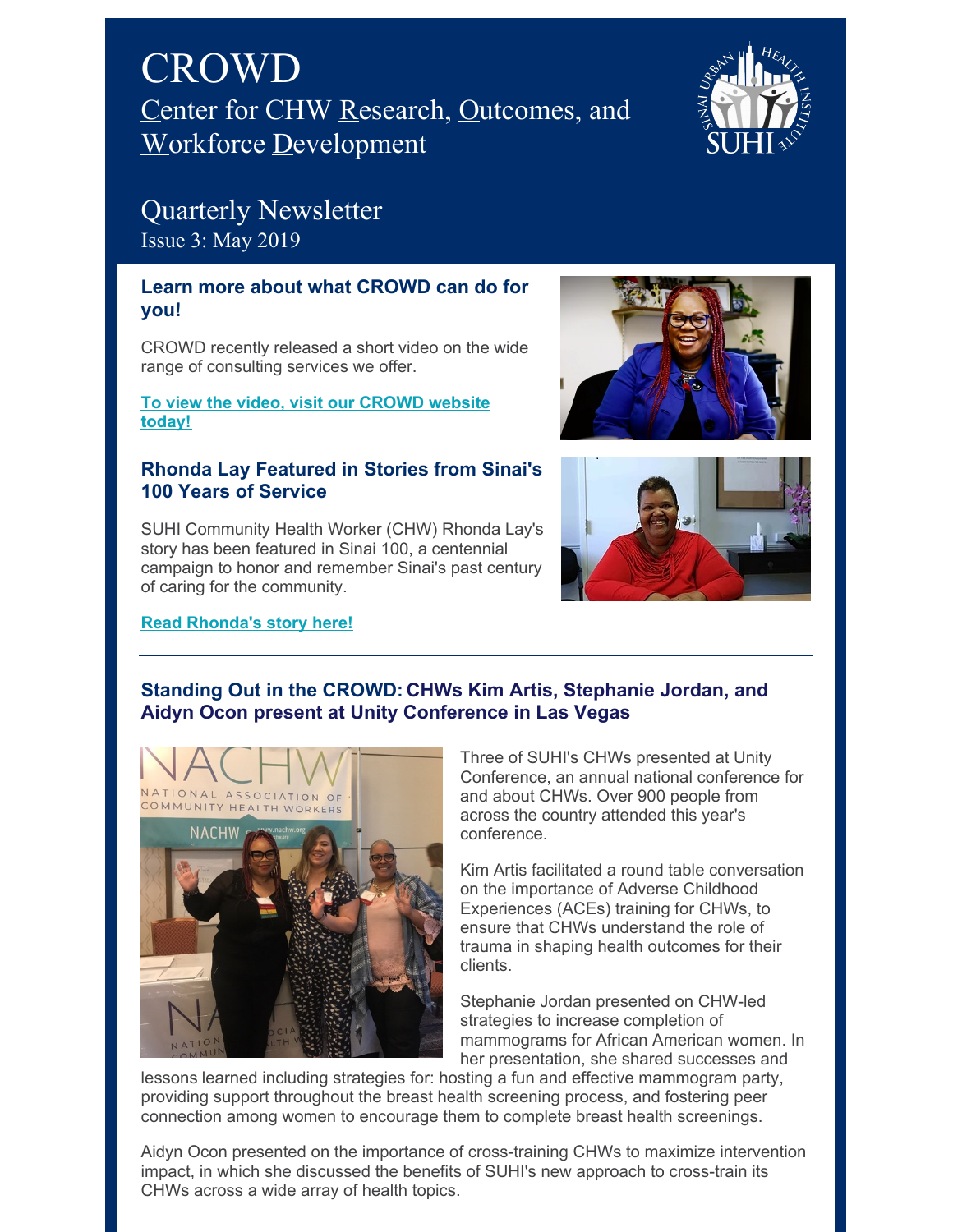



# Quarterly Newsletter Issue 3: May 2019

# **Learn more about what CROWD can do for you!**

CROWD recently released a short video on the wide range of consulting services we offer.

**To view the video, visit our [CROWD](https://www.suhicrowd.org/services) website today!**

## **Rhonda Lay Featured in Stories from Sinai's 100 Years of Service**

SUHI Community Health Worker (CHW) Rhonda Lay's story has been featured in Sinai 100, a centennial campaign to honor and remember Sinai's past century of caring for the community.

#### **Read [Rhonda's](https://www.sinai100.org/stories/rhonda-lay) story here!**





# **Standing Out in the CROWD: CHWs Kim Artis, Stephanie Jordan, and Aidyn Ocon present at Unity Conference in Las Vegas**



Three of SUHI's CHWs presented at Unity Conference, an annual national conference for and about CHWs. Over 900 people from across the country attended this year's conference.

Kim Artis facilitated a round table conversation on the importance of Adverse Childhood Experiences (ACEs) training for CHWs, to ensure that CHWs understand the role of trauma in shaping health outcomes for their clients.

Stephanie Jordan presented on CHW-led strategies to increase completion of mammograms for African American women. In her presentation, she shared successes and

lessons learned including strategies for: hosting a fun and effective mammogram party, providing support throughout the breast health screening process, and fostering peer connection among women to encourage them to complete breast health screenings.

Aidyn Ocon presented on the importance of cross-training CHWs to maximize intervention impact, in which she discussed the benefits of SUHI's new approach to cross-train its CHWs across a wide array of health topics.